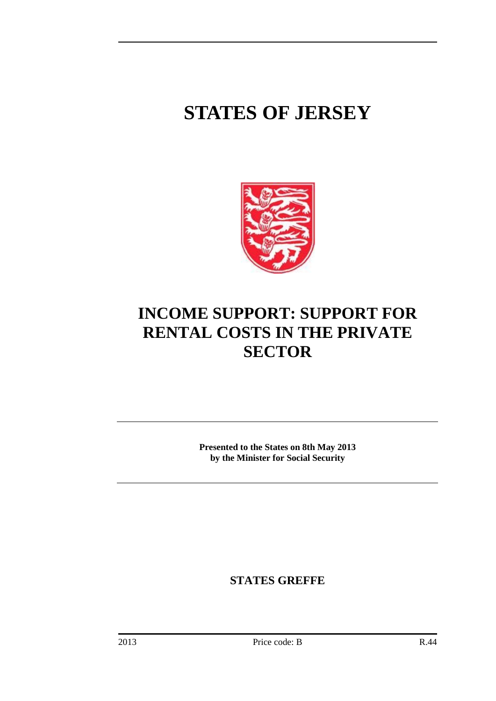# **STATES OF JERSEY**



# **INCOME SUPPORT: SUPPORT FOR RENTAL COSTS IN THE PRIVATE SECTOR**

**Presented to the States on 8th May 2013 by the Minister for Social Security**

**STATES GREFFE**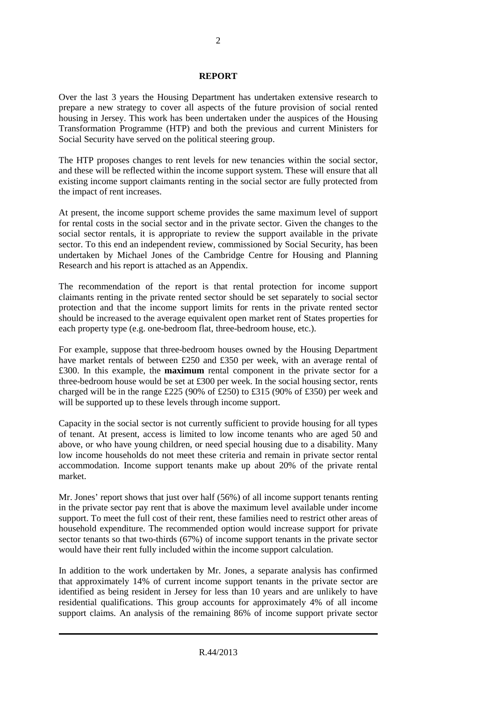#### **REPORT**

Over the last 3 years the Housing Department has undertaken extensive research to prepare a new strategy to cover all aspects of the future provision of social rented housing in Jersey. This work has been undertaken under the auspices of the Housing Transformation Programme (HTP) and both the previous and current Ministers for Social Security have served on the political steering group.

The HTP proposes changes to rent levels for new tenancies within the social sector, and these will be reflected within the income support system. These will ensure that all existing income support claimants renting in the social sector are fully protected from the impact of rent increases.

At present, the income support scheme provides the same maximum level of support for rental costs in the social sector and in the private sector. Given the changes to the social sector rentals, it is appropriate to review the support available in the private sector. To this end an independent review, commissioned by Social Security, has been undertaken by Michael Jones of the Cambridge Centre for Housing and Planning Research and his report is attached as an Appendix.

The recommendation of the report is that rental protection for income support claimants renting in the private rented sector should be set separately to social sector protection and that the income support limits for rents in the private rented sector should be increased to the average equivalent open market rent of States properties for each property type (e.g. one-bedroom flat, three-bedroom house, etc.).

For example, suppose that three-bedroom houses owned by the Housing Department have market rentals of between £250 and £350 per week, with an average rental of £300. In this example, the **maximum** rental component in the private sector for a three-bedroom house would be set at  $£300$  per week. In the social housing sector, rents charged will be in the range £225 (90% of £250) to £315 (90% of £350) per week and will be supported up to these levels through income support.

Capacity in the social sector is not currently sufficient to provide housing for all types of tenant. At present, access is limited to low income tenants who are aged 50 and above, or who have young children, or need special housing due to a disability. Many low income households do not meet these criteria and remain in private sector rental accommodation. Income support tenants make up about 20% of the private rental market.

Mr. Jones' report shows that just over half (56%) of all income support tenants renting in the private sector pay rent that is above the maximum level available under income support. To meet the full cost of their rent, these families need to restrict other areas of household expenditure. The recommended option would increase support for private sector tenants so that two-thirds (67%) of income support tenants in the private sector would have their rent fully included within the income support calculation.

In addition to the work undertaken by Mr. Jones, a separate analysis has confirmed that approximately 14% of current income support tenants in the private sector are identified as being resident in Jersey for less than 10 years and are unlikely to have residential qualifications. This group accounts for approximately 4% of all income support claims. An analysis of the remaining 86% of income support private sector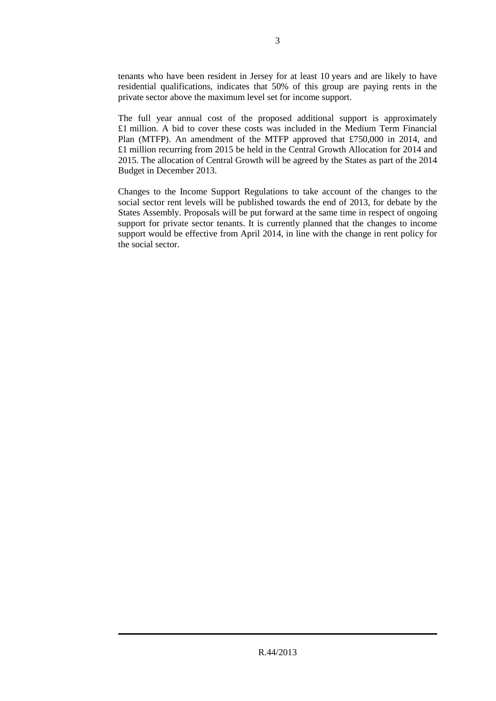tenants who have been resident in Jersey for at least 10 years and are likely to have residential qualifications, indicates that 50% of this group are paying rents in the private sector above the maximum level set for income support.

The full year annual cost of the proposed additional support is approximately £1 million. A bid to cover these costs was included in the Medium Term Financial Plan (MTFP). An amendment of the MTFP approved that £750,000 in 2014, and £1 million recurring from 2015 be held in the Central Growth Allocation for 2014 and 2015. The allocation of Central Growth will be agreed by the States as part of the 2014 Budget in December 2013.

Changes to the Income Support Regulations to take account of the changes to the social sector rent levels will be published towards the end of 2013, for debate by the States Assembly. Proposals will be put forward at the same time in respect of ongoing support for private sector tenants. It is currently planned that the changes to income support would be effective from April 2014, in line with the change in rent policy for the social sector.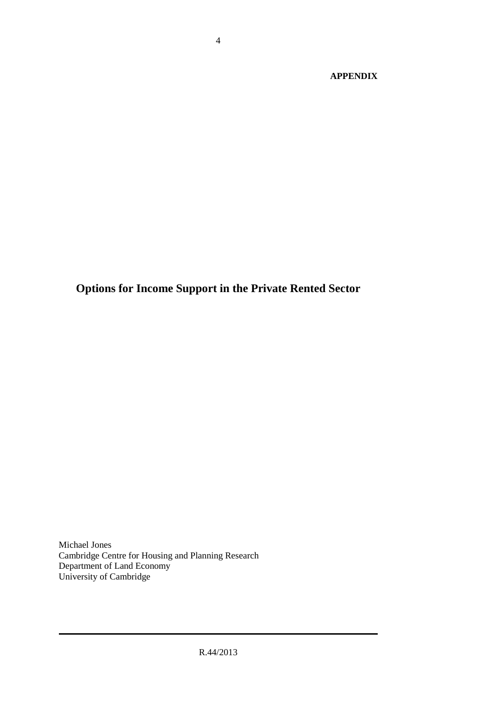**APPENDIX**

**Options for Income Support in the Private Rented Sector**

Michael Jones Cambridge Centre for Housing and Planning Research Department of Land Economy University of Cambridge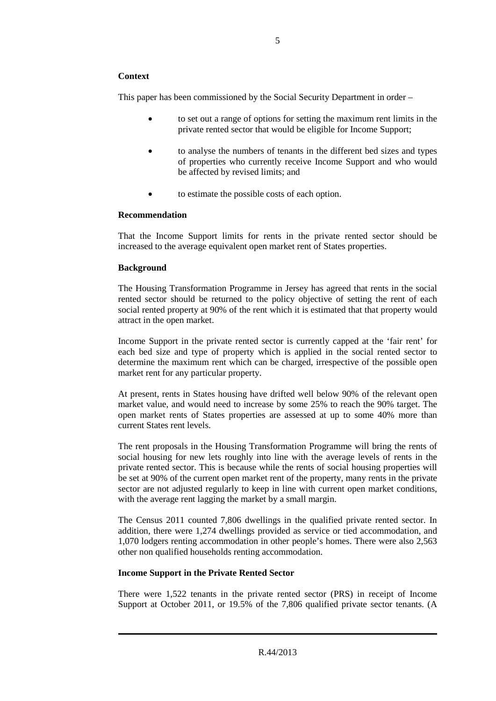#### **Context**

This paper has been commissioned by the Social Security Department in order –

- to set out a range of options for setting the maximum rent limits in the private rented sector that would be eligible for Income Support;
- to analyse the numbers of tenants in the different bed sizes and types of properties who currently receive Income Support and who would be affected by revised limits; and
- to estimate the possible costs of each option.

#### **Recommendation**

That the Income Support limits for rents in the private rented sector should be increased to the average equivalent open market rent of States properties.

#### **Background**

The Housing Transformation Programme in Jersey has agreed that rents in the social rented sector should be returned to the policy objective of setting the rent of each social rented property at 90% of the rent which it is estimated that that property would attract in the open market.

Income Support in the private rented sector is currently capped at the 'fair rent' for each bed size and type of property which is applied in the social rented sector to determine the maximum rent which can be charged, irrespective of the possible open market rent for any particular property.

At present, rents in States housing have drifted well below 90% of the relevant open market value, and would need to increase by some 25% to reach the 90% target. The open market rents of States properties are assessed at up to some 40% more than current States rent levels.

The rent proposals in the Housing Transformation Programme will bring the rents of social housing for new lets roughly into line with the average levels of rents in the private rented sector. This is because while the rents of social housing properties will be set at 90% of the current open market rent of the property, many rents in the private sector are not adjusted regularly to keep in line with current open market conditions, with the average rent lagging the market by a small margin.

The Census 2011 counted 7,806 dwellings in the qualified private rented sector. In addition, there were 1,274 dwellings provided as service or tied accommodation, and 1,070 lodgers renting accommodation in other people's homes. There were also 2,563 other non qualified households renting accommodation.

#### **Income Support in the Private Rented Sector**

There were 1,522 tenants in the private rented sector (PRS) in receipt of Income Support at October 2011, or 19.5% of the 7,806 qualified private sector tenants. (A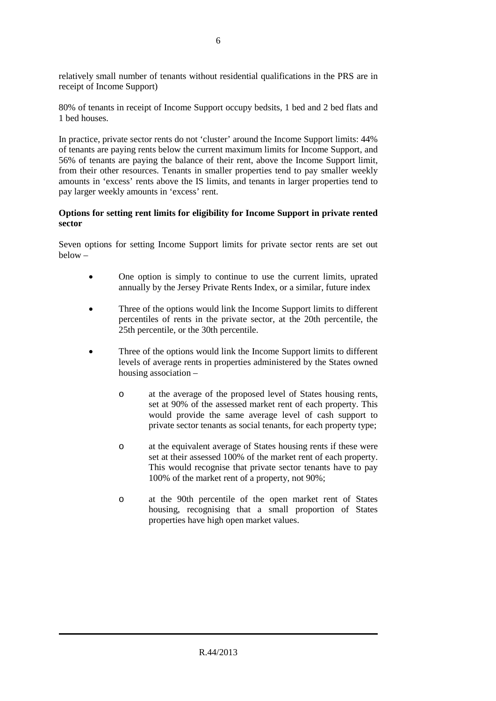relatively small number of tenants without residential qualifications in the PRS are in receipt of Income Support)

80% of tenants in receipt of Income Support occupy bedsits, 1 bed and 2 bed flats and 1 bed houses.

In practice, private sector rents do not 'cluster' around the Income Support limits: 44% of tenants are paying rents below the current maximum limits for Income Support, and 56% of tenants are paying the balance of their rent, above the Income Support limit, from their other resources. Tenants in smaller properties tend to pay smaller weekly amounts in 'excess' rents above the IS limits, and tenants in larger properties tend to pay larger weekly amounts in 'excess' rent.

#### **Options for setting rent limits for eligibility for Income Support in private rented sector**

Seven options for setting Income Support limits for private sector rents are set out below –

- One option is simply to continue to use the current limits, uprated annually by the Jersey Private Rents Index, or a similar, future index
- Three of the options would link the Income Support limits to different percentiles of rents in the private sector, at the 20th percentile, the 25th percentile, or the 30th percentile.
- Three of the options would link the Income Support limits to different levels of average rents in properties administered by the States owned housing association –
	- o at the average of the proposed level of States housing rents, set at 90% of the assessed market rent of each property. This would provide the same average level of cash support to private sector tenants as social tenants, for each property type;
	- o at the equivalent average of States housing rents if these were set at their assessed 100% of the market rent of each property. This would recognise that private sector tenants have to pay 100% of the market rent of a property, not 90%;
	- o at the 90th percentile of the open market rent of States housing, recognising that a small proportion of States properties have high open market values.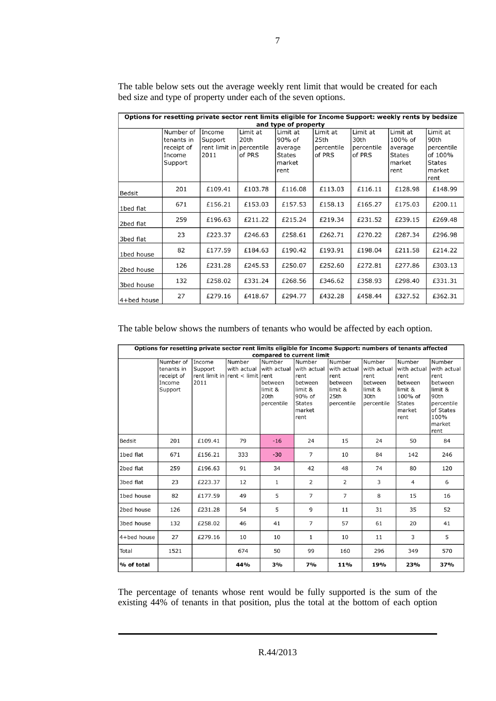| Options for resetting private sector rent limits eligible for Income Support: weekly rents by bedsize |            |                          |          |               |            |            |               |               |  |  |  |
|-------------------------------------------------------------------------------------------------------|------------|--------------------------|----------|---------------|------------|------------|---------------|---------------|--|--|--|
| and type of property                                                                                  |            |                          |          |               |            |            |               |               |  |  |  |
|                                                                                                       | Number of  | Income                   | Limit at | Limit at      | Limit at   | Limit at   | Limit at      | Limit at      |  |  |  |
|                                                                                                       | tenants in | Support                  | 20th     | 90% of        | 25th       | 30th       | 100% of       | 90th          |  |  |  |
|                                                                                                       | receipt of | rent limit in percentile |          | average       | percentile | percentile | average       | percentile    |  |  |  |
|                                                                                                       | Income     | 2011                     | of PRS   | <b>States</b> | of PRS     | of PRS     | <b>States</b> | of 100%       |  |  |  |
|                                                                                                       | Support    |                          |          | market        |            |            | market        | <b>States</b> |  |  |  |
|                                                                                                       |            |                          |          | rent          |            |            | rent          | market        |  |  |  |
|                                                                                                       |            |                          |          |               |            |            |               | rent          |  |  |  |
| Bedsit                                                                                                | 201        | £109.41                  | £103.78  | £116.08       | £113.03    | £116.11    | £128.98       | £148.99       |  |  |  |
|                                                                                                       | 671        | £156.21                  | £153.03  | £157.53       | £158.13    | £165.27    | £175.03       | £200.11       |  |  |  |
| 1bed flat                                                                                             |            |                          |          |               |            |            |               |               |  |  |  |
| 2bed flat                                                                                             | 259        | £196.63                  | £211.22  | £215.24       | £219.34    | £231.52    | £239.15       | £269.48       |  |  |  |
|                                                                                                       |            |                          |          |               |            |            |               |               |  |  |  |
| 3bed flat                                                                                             | 23         | £223.37                  | £246.63  | £258.61       | £262.71    | £270.22    | £287.34       | £296.98       |  |  |  |
| 1bed house                                                                                            | 82         | £177.59                  | £184.63  | £190.42       | £193.91    | £198.04    | £211.58       | £214.22       |  |  |  |
|                                                                                                       |            |                          |          |               |            |            |               |               |  |  |  |
| 2bed house                                                                                            | 126        | £231.28                  | £245.53  | £250.07       | £252.60    | £272.81    | £277.86       | £303.13       |  |  |  |
|                                                                                                       | 132        | £258.02                  | £331.24  | £268.56       | £346.62    | £358.93    | £298.40       | £331.31       |  |  |  |
| 3bed house                                                                                            |            |                          |          |               |            |            |               |               |  |  |  |
| 4+bed house                                                                                           | 27         | £279.16                  | £418.67  | £294.77       | £432.28    | £458.44    | £327.52       | £362.31       |  |  |  |

The table below sets out the average weekly rent limit that would be created for each bed size and type of property under each of the seven options.

The table below shows the numbers of tenants who would be affected by each option.

| Options for resetting private sector rent limits eligible for Income Support: numbers of tenants affected<br>compared to current limit |                                                            |                           |                                                                      |                                                    |                                                                                                  |                                                                           |                                                                           |                                                                                                   |                                                                                                                  |  |
|----------------------------------------------------------------------------------------------------------------------------------------|------------------------------------------------------------|---------------------------|----------------------------------------------------------------------|----------------------------------------------------|--------------------------------------------------------------------------------------------------|---------------------------------------------------------------------------|---------------------------------------------------------------------------|---------------------------------------------------------------------------------------------------|------------------------------------------------------------------------------------------------------------------|--|
|                                                                                                                                        | Number of<br>tenants in<br>receipt of<br>Income<br>Support | Income<br>Support<br>2011 | Number<br>with actual with actual<br>rent limit in rent < limit rent | Number<br>between<br>limit &<br>20th<br>percentile | Number<br>with actual<br>rent<br>between<br>limit &<br>90% of<br><b>States</b><br>market<br>rent | Number<br>with actual<br>rent<br>between<br>limit &<br>25th<br>percentile | Number<br>with actual<br>rent<br>between<br>limit &<br>30th<br>percentile | Number<br>with actual<br>rent<br>between<br>limit &<br>100% of<br><b>States</b><br>market<br>rent | Number<br>with actual<br>rent<br>between<br>limit &<br>90th<br>percentile<br>of States<br>100%<br>market<br>rent |  |
| Bedsit                                                                                                                                 | 201                                                        | £109.41                   | 79                                                                   | $-16$                                              | 24                                                                                               | 15                                                                        | 24                                                                        | 50                                                                                                | 84                                                                                                               |  |
| 1bed flat                                                                                                                              | 671                                                        | £156.21                   | 333                                                                  | $-30$                                              | $\overline{7}$                                                                                   | 10                                                                        | 84                                                                        | 142                                                                                               | 246                                                                                                              |  |
| 2bed flat                                                                                                                              | 259                                                        | £196.63                   | 91                                                                   | 34                                                 | 42                                                                                               | 48                                                                        | 74                                                                        | 80                                                                                                | 120                                                                                                              |  |
| 3bed flat                                                                                                                              | 23                                                         | £223.37                   | 12                                                                   | $\mathbf{1}$                                       | $\overline{2}$                                                                                   | $\overline{2}$                                                            | 3                                                                         | $\overline{4}$                                                                                    | 6                                                                                                                |  |
| 1bed house                                                                                                                             | 82                                                         | £177.59                   | 49                                                                   | 5                                                  | $\overline{7}$                                                                                   | $\overline{7}$                                                            | 8                                                                         | 15                                                                                                | 16                                                                                                               |  |
| 2bed house                                                                                                                             | 126                                                        | £231.28                   | 54                                                                   | 5                                                  | 9                                                                                                | 11                                                                        | 31                                                                        | 35                                                                                                | 52                                                                                                               |  |
| 3bed house                                                                                                                             | 132                                                        | £258.02                   | 46                                                                   | 41                                                 | $\overline{7}$                                                                                   | 57                                                                        | 61                                                                        | 20                                                                                                | 41                                                                                                               |  |
| 4+bed house                                                                                                                            | 27                                                         | £279.16                   | 10                                                                   | 10                                                 | $\mathbf{1}$                                                                                     | 10                                                                        | 11                                                                        | 3                                                                                                 | 5                                                                                                                |  |
| Total                                                                                                                                  | 1521                                                       |                           | 674                                                                  | 50                                                 | 99                                                                                               | 160                                                                       | 296                                                                       | 349                                                                                               | 570                                                                                                              |  |
| % of total                                                                                                                             |                                                            |                           | 44%                                                                  | 3%                                                 | 7%                                                                                               | 11%                                                                       | 19%                                                                       | 23%                                                                                               | 37%                                                                                                              |  |

The percentage of tenants whose rent would be fully supported is the sum of the existing 44% of tenants in that position, plus the total at the bottom of each option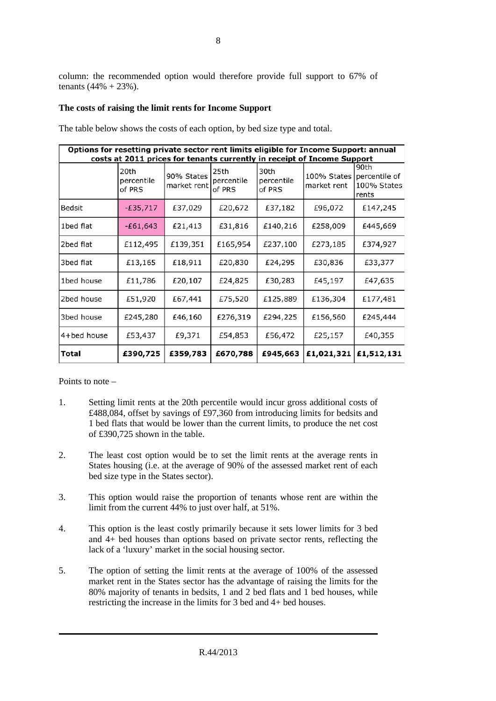# **The costs of raising the limit rents for Income Support**

| Options for resetting private sector rent limits eligible for Income Support: annual<br>costs at 2011 prices for tenants currently in receipt of Income Support |                              |                           |                              |                              |                            |                                               |  |  |  |
|-----------------------------------------------------------------------------------------------------------------------------------------------------------------|------------------------------|---------------------------|------------------------------|------------------------------|----------------------------|-----------------------------------------------|--|--|--|
|                                                                                                                                                                 | 20th<br>percentile<br>of PRS | 90% States<br>market rent | 25th<br>percentile<br>of PRS | 30th<br>percentile<br>of PRS | 100% States<br>market rent | 90th<br>percentile of<br>100% States<br>rents |  |  |  |
| Bedsit                                                                                                                                                          | $-£35,717$                   | £37,029                   | £20,672                      | £37,182                      | £96,072                    | £147,245                                      |  |  |  |
| 1bed flat                                                                                                                                                       | $-£61,643$                   | £21,413                   | £31,816                      | £140,216                     | £258,009                   | £445,669                                      |  |  |  |
| 2bed flat                                                                                                                                                       | £112,495                     | £139,351                  | £165,954                     | £237,100                     | £273,185                   | £374,927                                      |  |  |  |
| 3bed flat                                                                                                                                                       | £13,165                      | £18,911                   | £20,830                      | £24,295                      | £30,836                    | £33,377                                       |  |  |  |
| 1bed house                                                                                                                                                      | £11,786                      | £20,107                   | £24,825                      | £30,283                      | £45,197                    | £47,635                                       |  |  |  |
| 2bed house                                                                                                                                                      | £51,920                      | £67,441                   | £75,520                      | £125,889                     | £136,304                   | £177,481                                      |  |  |  |
| 3bed house                                                                                                                                                      | £245,280                     | £46,160                   | £276,319                     | £294,225                     | £156,560                   | £245,444                                      |  |  |  |
| 4+bed house                                                                                                                                                     | £53,437                      | £9,371                    | £54,853                      | £56,472                      | £25,157                    | £40,355                                       |  |  |  |
| Total                                                                                                                                                           | £390,725                     | £359,783                  | £670,788                     | £945,663                     | £1,021,321                 | £1,512,131                                    |  |  |  |

The table below shows the costs of each option, by bed size type and total.

Points to note –

- 1. Setting limit rents at the 20th percentile would incur gross additional costs of £488,084, offset by savings of £97,360 from introducing limits for bedsits and 1 bed flats that would be lower than the current limits, to produce the net cost of £390,725 shown in the table.
- 2. The least cost option would be to set the limit rents at the average rents in States housing (i.e. at the average of 90% of the assessed market rent of each bed size type in the States sector).
- 3. This option would raise the proportion of tenants whose rent are within the limit from the current 44% to just over half, at 51%.
- 4. This option is the least costly primarily because it sets lower limits for 3 bed and 4+ bed houses than options based on private sector rents, reflecting the lack of a 'luxury' market in the social housing sector.
- 5. The option of setting the limit rents at the average of 100% of the assessed market rent in the States sector has the advantage of raising the limits for the 80% majority of tenants in bedsits, 1 and 2 bed flats and 1 bed houses, while restricting the increase in the limits for 3 bed and 4+ bed houses.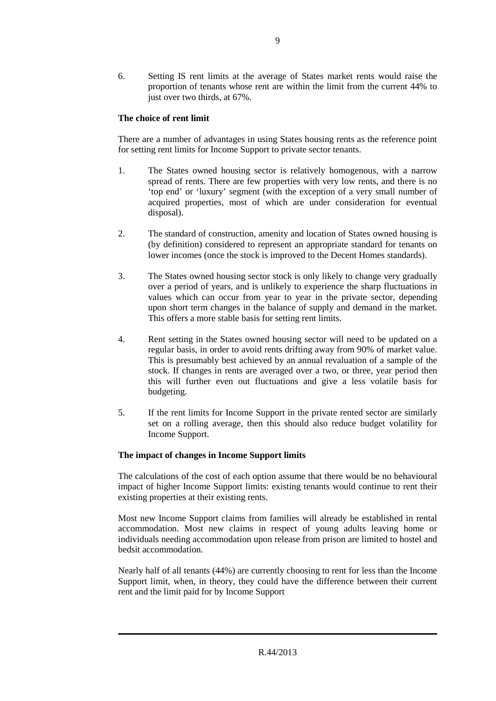6. Setting IS rent limits at the average of States market rents would raise the proportion of tenants whose rent are within the limit from the current 44% to just over two thirds, at 67%.

## **The choice of rent limit**

There are a number of advantages in using States housing rents as the reference point for setting rent limits for Income Support to private sector tenants.

- 1. The States owned housing sector is relatively homogenous, with a narrow spread of rents. There are few properties with very low rents, and there is no 'top end' or 'luxury' segment (with the exception of a very small number of acquired properties, most of which are under consideration for eventual disposal).
- 2. The standard of construction, amenity and location of States owned housing is (by definition) considered to represent an appropriate standard for tenants on lower incomes (once the stock is improved to the Decent Homes standards).
- 3. The States owned housing sector stock is only likely to change very gradually over a period of years, and is unlikely to experience the sharp fluctuations in values which can occur from year to year in the private sector, depending upon short term changes in the balance of supply and demand in the market. This offers a more stable basis for setting rent limits.
- 4. Rent setting in the States owned housing sector will need to be updated on a regular basis, in order to avoid rents drifting away from 90% of market value. This is presumably best achieved by an annual revaluation of a sample of the stock. If changes in rents are averaged over a two, or three, year period then this will further even out fluctuations and give a less volatile basis for budgeting.
- 5. If the rent limits for Income Support in the private rented sector are similarly set on a rolling average, then this should also reduce budget volatility for Income Support.

### **The impact of changes in Income Support limits**

The calculations of the cost of each option assume that there would be no behavioural impact of higher Income Support limits: existing tenants would continue to rent their existing properties at their existing rents.

Most new Income Support claims from families will already be established in rental accommodation. Most new claims in respect of young adults leaving home or individuals needing accommodation upon release from prison are limited to hostel and bedsit accommodation.

Nearly half of all tenants (44%) are currently choosing to rent for less than the Income Support limit, when, in theory, they could have the difference between their current rent and the limit paid for by Income Support